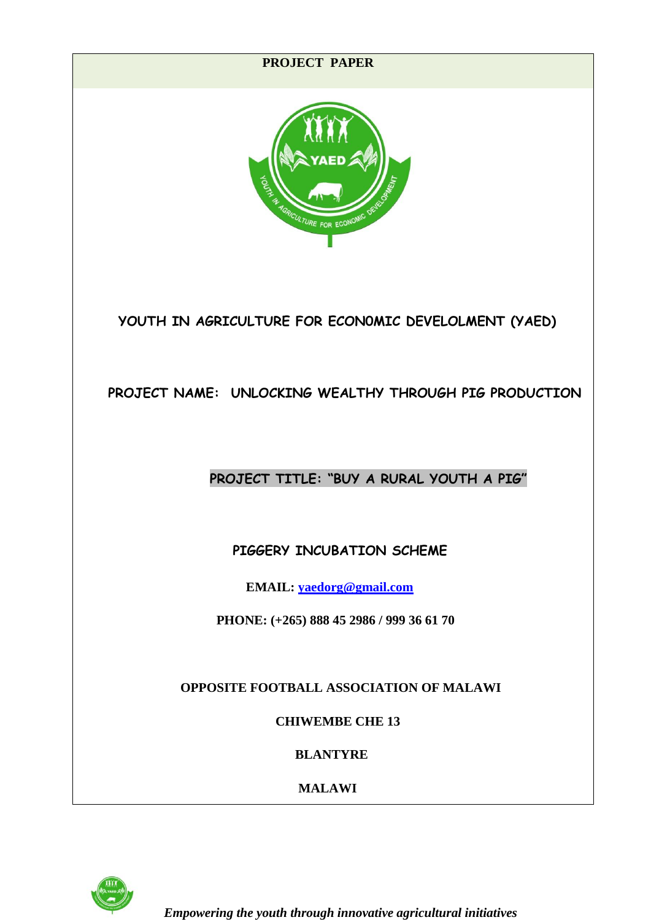

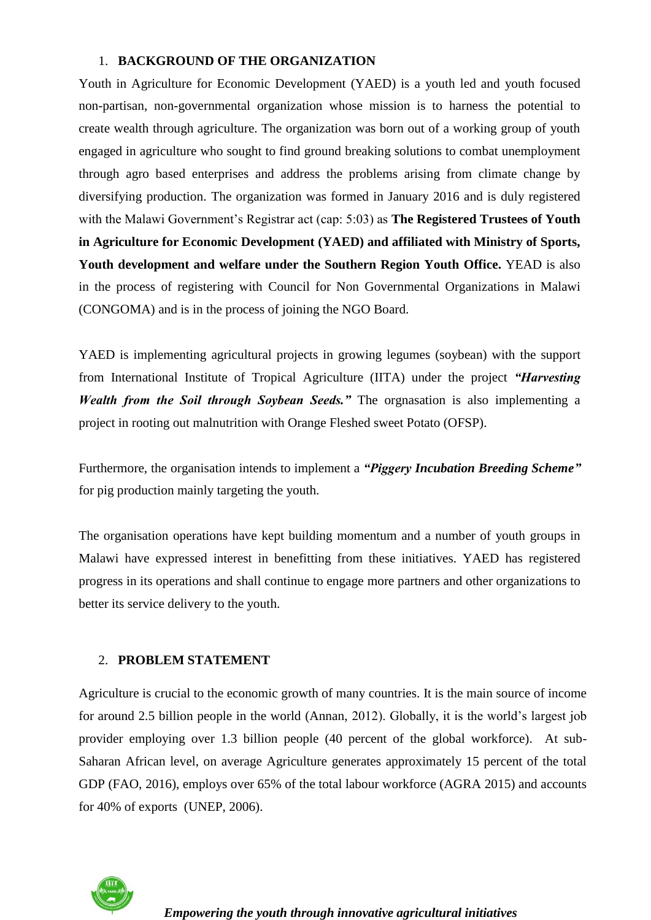## 1. **BACKGROUND OF THE ORGANIZATION**

Youth in Agriculture for Economic Development (YAED) is a youth led and youth focused non-partisan, non-governmental organization whose mission is to harness the potential to create wealth through agriculture. The organization was born out of a working group of youth engaged in agriculture who sought to find ground breaking solutions to combat unemployment through agro based enterprises and address the problems arising from climate change by diversifying production. The organization was formed in January 2016 and is duly registered with the Malawi Government's Registrar act (cap: 5:03) as **The Registered Trustees of Youth in Agriculture for Economic Development (YAED) and affiliated with Ministry of Sports, Youth development and welfare under the Southern Region Youth Office.** YEAD is also in the process of registering with Council for Non Governmental Organizations in Malawi (CONGOMA) and is in the process of joining the NGO Board.

YAED is implementing agricultural projects in growing legumes (soybean) with the support from International Institute of Tropical Agriculture (IITA) under the project *"Harvesting Wealth from the Soil through Soybean Seeds."* The orgnasation is also implementing a project in rooting out malnutrition with Orange Fleshed sweet Potato (OFSP).

Furthermore, the organisation intends to implement a *"Piggery Incubation Breeding Scheme"* for pig production mainly targeting the youth.

The organisation operations have kept building momentum and a number of youth groups in Malawi have expressed interest in benefitting from these initiatives. YAED has registered progress in its operations and shall continue to engage more partners and other organizations to better its service delivery to the youth.

## 2. **PROBLEM STATEMENT**

Agriculture is crucial to the economic growth of many countries. It is the main source of income for around 2.5 billion people in the world (Annan, 2012). Globally, it is the world's largest job provider employing over 1.3 billion people (40 percent of the global workforce). At sub-Saharan African level, on average Agriculture generates approximately 15 percent of the total GDP (FAO, 2016), employs over 65% of the total labour workforce (AGRA 2015) and accounts for 40% of exports (UNEP, 2006).

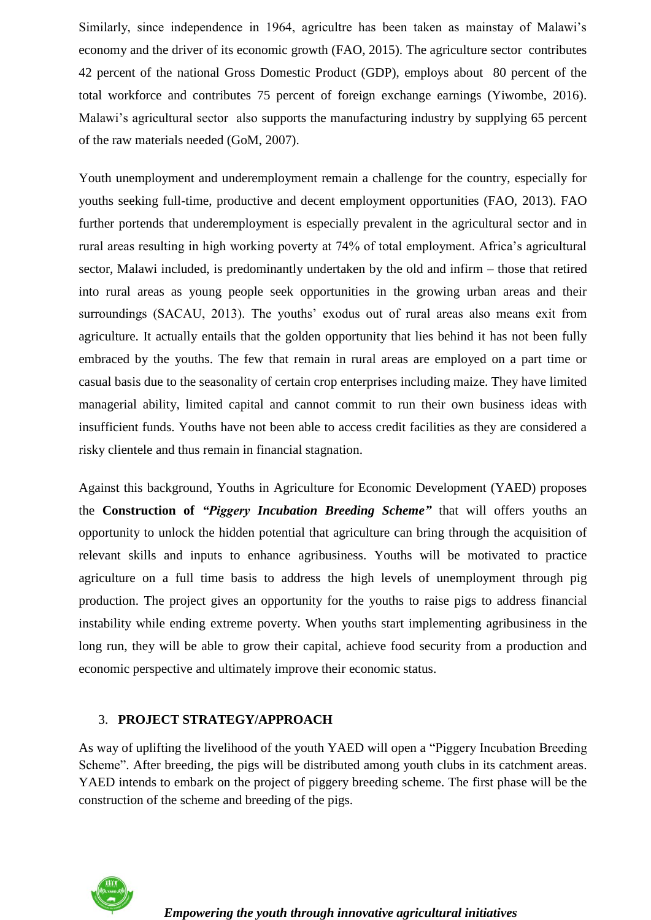Similarly, since independence in 1964, agricultre has been taken as mainstay of Malawi's economy and the driver of its economic growth (FAO, 2015). The agriculture sector contributes 42 percent of the national Gross Domestic Product (GDP), employs about 80 percent of the total workforce and contributes 75 percent of foreign exchange earnings (Yiwombe, 2016). Malawi's agricultural sector also supports the manufacturing industry by supplying 65 percent of the raw materials needed (GoM, 2007).

Youth unemployment and underemployment remain a challenge for the country, especially for youths seeking full-time, productive and decent employment opportunities (FAO, 2013). FAO further portends that underemployment is especially prevalent in the agricultural sector and in rural areas resulting in high working poverty at 74% of total employment. Africa's agricultural sector, Malawi included, is predominantly undertaken by the old and infirm – those that retired into rural areas as young people seek opportunities in the growing urban areas and their surroundings (SACAU, 2013). The youths' exodus out of rural areas also means exit from agriculture. It actually entails that the golden opportunity that lies behind it has not been fully embraced by the youths. The few that remain in rural areas are employed on a part time or casual basis due to the seasonality of certain crop enterprises including maize. They have limited managerial ability, limited capital and cannot commit to run their own business ideas with insufficient funds. Youths have not been able to access credit facilities as they are considered a risky clientele and thus remain in financial stagnation.

Against this background, Youths in Agriculture for Economic Development (YAED) proposes the **Construction of** *"Piggery Incubation Breeding Scheme"* that will offers youths an opportunity to unlock the hidden potential that agriculture can bring through the acquisition of relevant skills and inputs to enhance agribusiness. Youths will be motivated to practice agriculture on a full time basis to address the high levels of unemployment through pig production. The project gives an opportunity for the youths to raise pigs to address financial instability while ending extreme poverty. When youths start implementing agribusiness in the long run, they will be able to grow their capital, achieve food security from a production and economic perspective and ultimately improve their economic status.

#### 3. **PROJECT STRATEGY/APPROACH**

As way of uplifting the livelihood of the youth YAED will open a "Piggery Incubation Breeding Scheme". After breeding, the pigs will be distributed among youth clubs in its catchment areas. YAED intends to embark on the project of piggery breeding scheme. The first phase will be the construction of the scheme and breeding of the pigs.

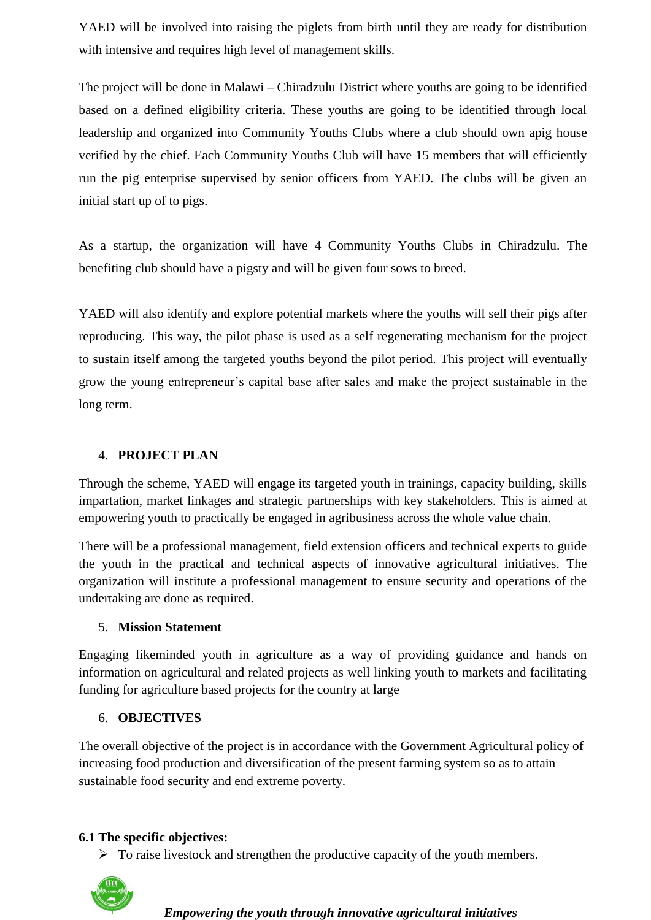YAED will be involved into raising the piglets from birth until they are ready for distribution with intensive and requires high level of management skills.

The project will be done in Malawi – Chiradzulu District where youths are going to be identified based on a defined eligibility criteria. These youths are going to be identified through local leadership and organized into Community Youths Clubs where a club should own apig house verified by the chief. Each Community Youths Club will have 15 members that will efficiently run the pig enterprise supervised by senior officers from YAED. The clubs will be given an initial start up of to pigs.

As a startup, the organization will have 4 Community Youths Clubs in Chiradzulu. The benefiting club should have a pigsty and will be given four sows to breed.

YAED will also identify and explore potential markets where the youths will sell their pigs after reproducing. This way, the pilot phase is used as a self regenerating mechanism for the project to sustain itself among the targeted youths beyond the pilot period. This project will eventually grow the young entrepreneur's capital base after sales and make the project sustainable in the long term.

## 4. **PROJECT PLAN**

Through the scheme, YAED will engage its targeted youth in trainings, capacity building, skills impartation, market linkages and strategic partnerships with key stakeholders. This is aimed at empowering youth to practically be engaged in agribusiness across the whole value chain.

There will be a professional management, field extension officers and technical experts to guide the youth in the practical and technical aspects of innovative agricultural initiatives. The organization will institute a professional management to ensure security and operations of the undertaking are done as required.

### 5. **Mission Statement**

Engaging likeminded youth in agriculture as a way of providing guidance and hands on information on agricultural and related projects as well linking youth to markets and facilitating funding for agriculture based projects for the country at large

### 6. **OBJECTIVES**

The overall objective of the project is in accordance with the Government Agricultural policy of increasing food production and diversification of the present farming system so as to attain sustainable food security and end extreme poverty.

### **6.1 The specific objectives:**

 $\triangleright$  To raise livestock and strengthen the productive capacity of the youth members.

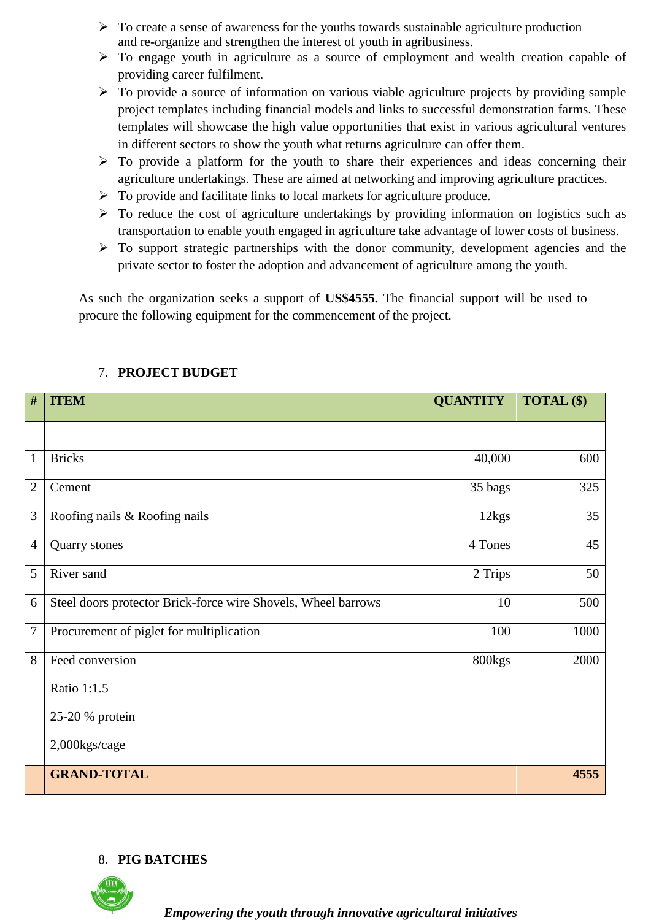- $\triangleright$  To create a sense of awareness for the youths towards sustainable agriculture production and re-organize and strengthen the interest of youth in agribusiness.
- To engage youth in agriculture as a source of employment and wealth creation capable of providing career fulfilment.
- $\triangleright$  To provide a source of information on various viable agriculture projects by providing sample project templates including financial models and links to successful demonstration farms. These templates will showcase the high value opportunities that exist in various agricultural ventures in different sectors to show the youth what returns agriculture can offer them.
- $\triangleright$  To provide a platform for the youth to share their experiences and ideas concerning their agriculture undertakings. These are aimed at networking and improving agriculture practices.
- $\triangleright$  To provide and facilitate links to local markets for agriculture produce.
- $\triangleright$  To reduce the cost of agriculture undertakings by providing information on logistics such as transportation to enable youth engaged in agriculture take advantage of lower costs of business.
- $\triangleright$  To support strategic partnerships with the donor community, development agencies and the private sector to foster the adoption and advancement of agriculture among the youth.

As such the organization seeks a support of **US\$4555.** The financial support will be used to procure the following equipment for the commencement of the project.

| #                | <b>ITEM</b>                                                   | <b>QUANTITY</b> | TOTAL (\$) |
|------------------|---------------------------------------------------------------|-----------------|------------|
|                  |                                                               |                 |            |
| $\mathbf{1}$     | <b>Bricks</b>                                                 | 40,000          | 600        |
| $\overline{2}$   | Cement                                                        | 35 bags         | 325        |
| 3                | Roofing nails & Roofing nails                                 | 12kgs           | 35         |
| $\overline{4}$   | Quarry stones                                                 | 4 Tones         | 45         |
| 5                | River sand                                                    | 2 Trips         | 50         |
| 6                | Steel doors protector Brick-force wire Shovels, Wheel barrows | 10              | 500        |
| $\boldsymbol{7}$ | Procurement of piglet for multiplication                      | 100             | 1000       |
| 8                | Feed conversion                                               | 800kgs          | 2000       |
|                  | Ratio 1:1.5                                                   |                 |            |
|                  | 25-20 % protein                                               |                 |            |
|                  | 2,000kgs/cage                                                 |                 |            |
|                  | <b>GRAND-TOTAL</b>                                            |                 | 4555       |

# 7. **PROJECT BUDGET**

# 8. **PIG BATCHES**

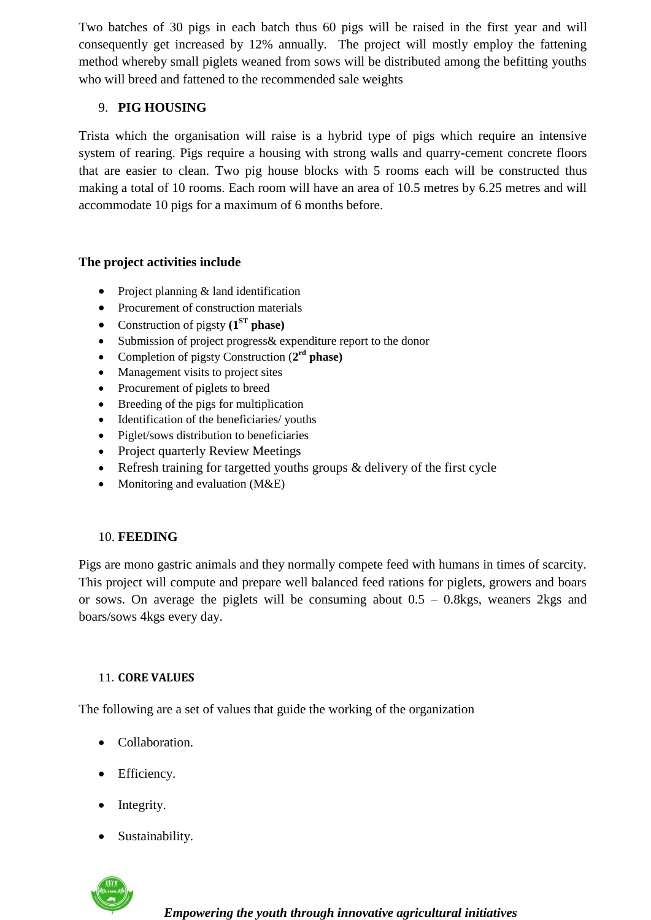Two batches of 30 pigs in each batch thus 60 pigs will be raised in the first year and will consequently get increased by 12% annually. The project will mostly employ the fattening method whereby small piglets weaned from sows will be distributed among the befitting youths who will breed and fattened to the recommended sale weights

## 9. **PIG HOUSING**

Trista which the organisation will raise is a hybrid type of pigs which require an intensive system of rearing. Pigs require a housing with strong walls and quarry-cement concrete floors that are easier to clean. Two pig house blocks with 5 rooms each will be constructed thus making a total of 10 rooms. Each room will have an area of 10.5 metres by 6.25 metres and will accommodate 10 pigs for a maximum of 6 months before.

## **The project activities include**

- Project planning & land identification
- Procurement of construction materials
- Construction of pigsty **(1ST phase)**
- Submission of project progress& expenditure report to the donor
- Completion of pigsty Construction (**2 rd phase)**
- Management visits to project sites
- Procurement of piglets to breed
- Breeding of the pigs for multiplication
- Identification of the beneficiaries/ youths
- Piglet/sows distribution to beneficiaries
- Project quarterly Review Meetings
- Refresh training for targetted youths groups & delivery of the first cycle
- Monitoring and evaluation  $(M&E)$

## 10. **FEEDING**

Pigs are mono gastric animals and they normally compete feed with humans in times of scarcity. This project will compute and prepare well balanced feed rations for piglets, growers and boars or sows. On average the piglets will be consuming about  $0.5 - 0.8$ kgs, weaners 2kgs and boars/sows 4kgs every day.

## 11. **CORE VALUES**

The following are a set of values that guide the working of the organization

- Collaboration.
- Efficiency.
- Integrity.
- Sustainability.